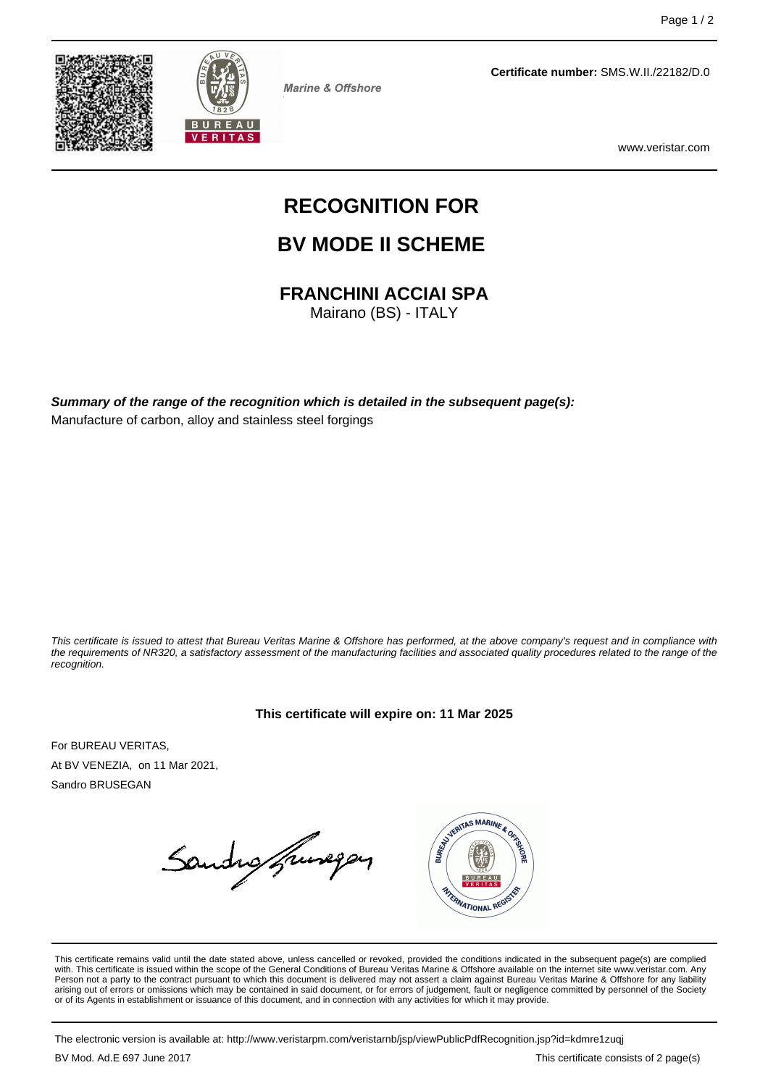



**Marine & Offshore** 

**Certificate number:** SMS.W.II./22182/D.0

www.veristar.com

# **RECOGNITION FOR**

# **BV MODE II SCHEME**

# **FRANCHINI ACCIAI SPA**

Mairano (BS) - ITALY

**Summary of the range of the recognition which is detailed in the subsequent page(s):** Manufacture of carbon, alloy and stainless steel forgings

This certificate is issued to attest that Bureau Veritas Marine & Offshore has performed, at the above company's request and in compliance with the requirements of NR320, a satisfactory assessment of the manufacturing facilities and associated quality procedures related to the range of the recognition.

#### **This certificate will expire on: 11 Mar 2025**

For BUREAU VERITAS, At BV VENEZIA, on 11 Mar 2021, Sandro BRUSEGAN

Sandro francopan



This certificate remains valid until the date stated above, unless cancelled or revoked, provided the conditions indicated in the subsequent page(s) are complied with. This certificate is issued within the scope of the General Conditions of Bureau Veritas Marine & Offshore available on the internet site www.veristar.com. Any Person not a party to the contract pursuant to which this document is delivered may not assert a claim against Bureau Veritas Marine & Offshore for any liability arising out of errors or omissions which may be contained in said document, or for errors of judgement, fault or negligence committed by personnel of the Society<br>or of its Agents in establishment or issuance of this docume